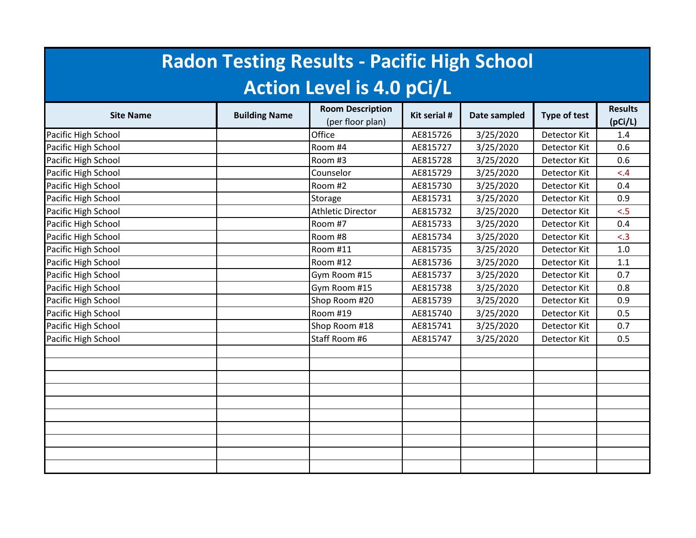| <b>Radon Testing Results - Pacific High School</b> |                      |                                             |              |              |                     |                           |  |  |  |  |
|----------------------------------------------------|----------------------|---------------------------------------------|--------------|--------------|---------------------|---------------------------|--|--|--|--|
| <b>Action Level is 4.0 pCi/L</b>                   |                      |                                             |              |              |                     |                           |  |  |  |  |
| <b>Site Name</b>                                   | <b>Building Name</b> | <b>Room Description</b><br>(per floor plan) | Kit serial # | Date sampled | <b>Type of test</b> | <b>Results</b><br>(pCi/L) |  |  |  |  |
| Pacific High School                                |                      | Office                                      | AE815726     | 3/25/2020    | Detector Kit        | 1.4                       |  |  |  |  |
| Pacific High School                                |                      | Room #4                                     | AE815727     | 3/25/2020    | Detector Kit        | 0.6                       |  |  |  |  |
| Pacific High School                                |                      | Room #3                                     | AE815728     | 3/25/2020    | Detector Kit        | 0.6                       |  |  |  |  |
| Pacific High School                                |                      | Counselor                                   | AE815729     | 3/25/2020    | Detector Kit        | < 4                       |  |  |  |  |
| Pacific High School                                |                      | Room #2                                     | AE815730     | 3/25/2020    | Detector Kit        | 0.4                       |  |  |  |  |
| Pacific High School                                |                      | Storage                                     | AE815731     | 3/25/2020    | Detector Kit        | 0.9                       |  |  |  |  |
| Pacific High School                                |                      | <b>Athletic Director</b>                    | AE815732     | 3/25/2020    | Detector Kit        | < 5                       |  |  |  |  |
| Pacific High School                                |                      | Room #7                                     | AE815733     | 3/25/2020    | Detector Kit        | 0.4                       |  |  |  |  |
| Pacific High School                                |                      | Room #8                                     | AE815734     | 3/25/2020    | Detector Kit        | < .3                      |  |  |  |  |
| Pacific High School                                |                      | Room #11                                    | AE815735     | 3/25/2020    | Detector Kit        | 1.0                       |  |  |  |  |
| Pacific High School                                |                      | Room #12                                    | AE815736     | 3/25/2020    | Detector Kit        | 1.1                       |  |  |  |  |
| Pacific High School                                |                      | Gym Room #15                                | AE815737     | 3/25/2020    | Detector Kit        | 0.7                       |  |  |  |  |
| Pacific High School                                |                      | Gym Room #15                                | AE815738     | 3/25/2020    | Detector Kit        | 0.8                       |  |  |  |  |
| Pacific High School                                |                      | Shop Room #20                               | AE815739     | 3/25/2020    | Detector Kit        | 0.9                       |  |  |  |  |
| Pacific High School                                |                      | Room #19                                    | AE815740     | 3/25/2020    | Detector Kit        | 0.5                       |  |  |  |  |
| Pacific High School                                |                      | Shop Room #18                               | AE815741     | 3/25/2020    | Detector Kit        | 0.7                       |  |  |  |  |
| Pacific High School                                |                      | Staff Room #6                               | AE815747     | 3/25/2020    | Detector Kit        | 0.5                       |  |  |  |  |
|                                                    |                      |                                             |              |              |                     |                           |  |  |  |  |
|                                                    |                      |                                             |              |              |                     |                           |  |  |  |  |
|                                                    |                      |                                             |              |              |                     |                           |  |  |  |  |
|                                                    |                      |                                             |              |              |                     |                           |  |  |  |  |
|                                                    |                      |                                             |              |              |                     |                           |  |  |  |  |
|                                                    |                      |                                             |              |              |                     |                           |  |  |  |  |
|                                                    |                      |                                             |              |              |                     |                           |  |  |  |  |
|                                                    |                      |                                             |              |              |                     |                           |  |  |  |  |
|                                                    |                      |                                             |              |              |                     |                           |  |  |  |  |